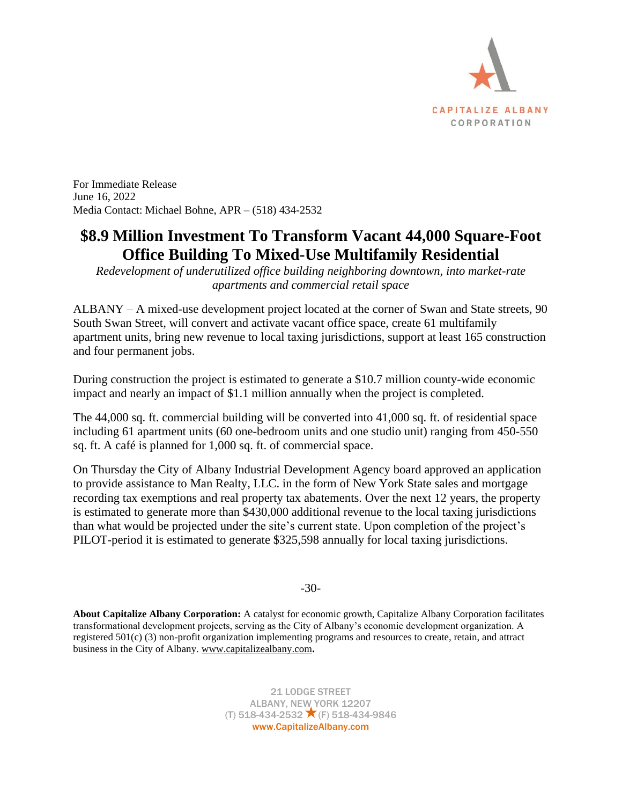

For Immediate Release June 16, 2022 Media Contact: Michael Bohne, APR – (518) 434-2532

## **\$8.9 Million Investment To Transform Vacant 44,000 Square-Foot Office Building To Mixed-Use Multifamily Residential**

*Redevelopment of underutilized office building neighboring downtown, into market-rate apartments and commercial retail space*

ALBANY – A mixed-use development project located at the corner of Swan and State streets, 90 South Swan Street, will convert and activate vacant office space, create 61 multifamily apartment units, bring new revenue to local taxing jurisdictions, support at least 165 construction and four permanent jobs.

During construction the project is estimated to generate a \$10.7 million county-wide economic impact and nearly an impact of \$1.1 million annually when the project is completed.

The 44,000 sq. ft. commercial building will be converted into 41,000 sq. ft. of residential space including 61 apartment units (60 one-bedroom units and one studio unit) ranging from 450-550 sq. ft. A café is planned for 1,000 sq. ft. of commercial space.

On Thursday the City of Albany Industrial Development Agency board approved an application to provide assistance to Man Realty, LLC. in the form of New York State sales and mortgage recording tax exemptions and real property tax abatements. Over the next 12 years, the property is estimated to generate more than \$430,000 additional revenue to the local taxing jurisdictions than what would be projected under the site's current state. Upon completion of the project's PILOT-period it is estimated to generate \$325,598 annually for local taxing jurisdictions.

-30-

**About Capitalize Albany Corporation:** A catalyst for economic growth, Capitalize Albany Corporation facilitates transformational development projects, serving as the City of Albany's economic development organization. A registered 501(c) (3) non-profit organization implementing programs and resources to create, retain, and attract business in the City of Albany. [www.capitalizealbany.com](http://www.capitalizealbany.com/)**.**

> 21 LODGE STREET ALBANY, NEW YORK 12207 (T) 518-434-2532  $\times$  (F) 518-434-9846 www.CapitalizeAlbany.com